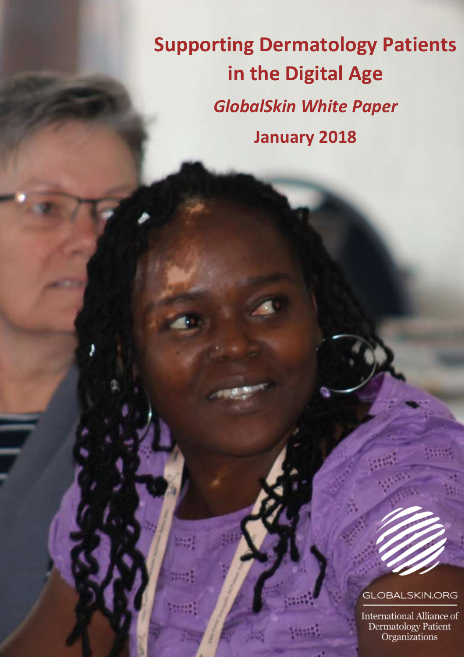**Supporting Dermatology Patients in the Digital Age** *GlobalSkin White Paper* **January 2018**

# **GLOBALSKIN.ORG**

International Alliance of Dermatology Patient<br>Organizations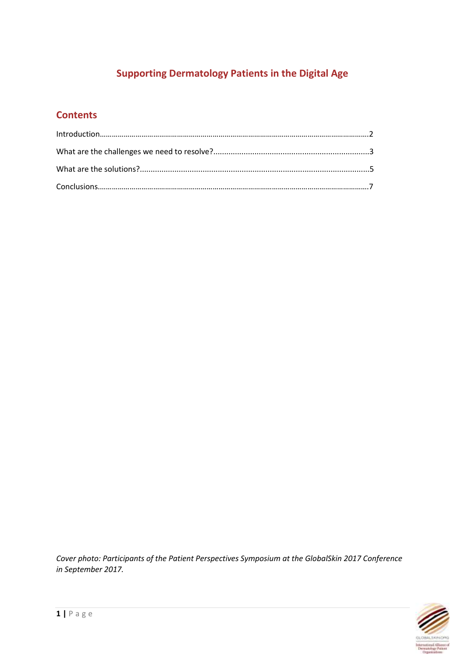# **Supporting Dermatology Patients in the Digital Age**

# **Contents**

*Cover photo: Participants of the Patient Perspectives Symposium at the GlobalSkin 2017 Conference in September 2017.*

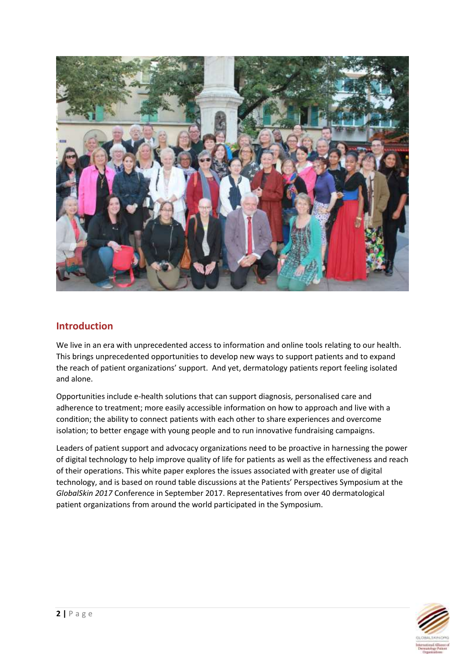

### **Introduction**

We live in an era with unprecedented access to information and online tools relating to our health. This brings unprecedented opportunities to develop new ways to support patients and to expand the reach of patient organizations' support. And yet, dermatology patients report feeling isolated and alone.

Opportunities include e-health solutions that can support diagnosis, personalised care and adherence to treatment; more easily accessible information on how to approach and live with a condition; the ability to connect patients with each other to share experiences and overcome isolation; to better engage with young people and to run innovative fundraising campaigns.

Leaders of patient support and advocacy organizations need to be proactive in harnessing the power of digital technology to help improve quality of life for patients as well as the effectiveness and reach of their operations. This white paper explores the issues associated with greater use of digital technology, and is based on round table discussions at the Patients' Perspectives Symposium at the *GlobalSkin 2017* Conference in September 2017. Representatives from over 40 dermatological patient organizations from around the world participated in the Symposium.

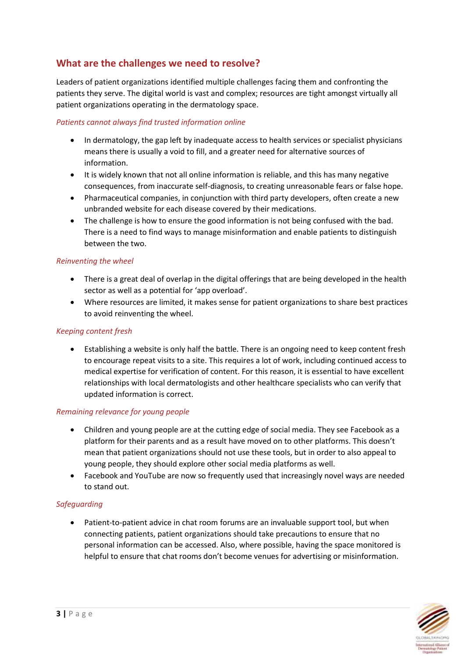## **What are the challenges we need to resolve?**

Leaders of patient organizations identified multiple challenges facing them and confronting the patients they serve. The digital world is vast and complex; resources are tight amongst virtually all patient organizations operating in the dermatology space.

#### *Patients cannot always find trusted information online*

- In dermatology, the gap left by inadequate access to health services or specialist physicians means there is usually a void to fill, and a greater need for alternative sources of information.
- It is widely known that not all online information is reliable, and this has many negative consequences, from inaccurate self-diagnosis, to creating unreasonable fears or false hope.
- Pharmaceutical companies, in conjunction with third party developers, often create a new unbranded website for each disease covered by their medications.
- The challenge is how to ensure the good information is not being confused with the bad. There is a need to find ways to manage misinformation and enable patients to distinguish between the two.

#### *Reinventing the wheel*

- There is a great deal of overlap in the digital offerings that are being developed in the health sector as well as a potential for 'app overload'.
- Where resources are limited, it makes sense for patient organizations to share best practices to avoid reinventing the wheel.

#### *Keeping content fresh*

• Establishing a website is only half the battle. There is an ongoing need to keep content fresh to encourage repeat visits to a site. This requires a lot of work, including continued access to medical expertise for verification of content. For this reason, it is essential to have excellent relationships with local dermatologists and other healthcare specialists who can verify that updated information is correct.

#### *Remaining relevance for young people*

- Children and young people are at the cutting edge of social media. They see Facebook as a platform for their parents and as a result have moved on to other platforms. This doesn't mean that patient organizations should not use these tools, but in order to also appeal to young people, they should explore other social media platforms as well.
- Facebook and YouTube are now so frequently used that increasingly novel ways are needed to stand out.

#### *Safeguarding*

• Patient-to-patient advice in chat room forums are an invaluable support tool, but when connecting patients, patient organizations should take precautions to ensure that no personal information can be accessed. Also, where possible, having the space monitored is helpful to ensure that chat rooms don't become venues for advertising or misinformation.

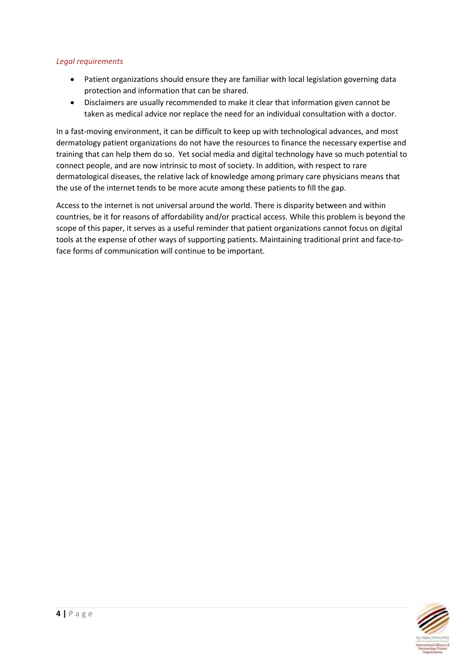#### *Legal requirements*

- Patient organizations should ensure they are familiar with local legislation governing data protection and information that can be shared.
- Disclaimers are usually recommended to make it clear that information given cannot be taken as medical advice nor replace the need for an individual consultation with a doctor.

In a fast-moving environment, it can be difficult to keep up with technological advances, and most dermatology patient organizations do not have the resources to finance the necessary expertise and training that can help them do so. Yet social media and digital technology have so much potential to connect people, and are now intrinsic to most of society. In addition, with respect to rare dermatological diseases, the relative lack of knowledge among primary care physicians means that the use of the internet tends to be more acute among these patients to fill the gap.

Access to the internet is not universal around the world. There is disparity between and within countries, be it for reasons of affordability and/or practical access. While this problem is beyond the scope of this paper, it serves as a useful reminder that patient organizations cannot focus on digital tools at the expense of other ways of supporting patients. Maintaining traditional print and face-toface forms of communication will continue to be important.

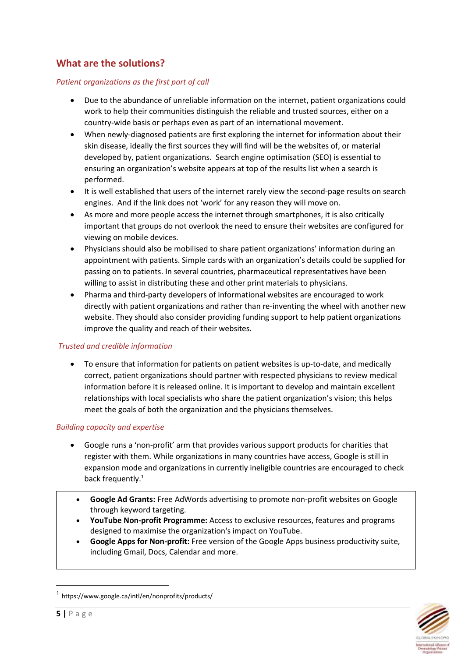# **What are the solutions?**

#### *Patient organizations as the first port of call*

- Due to the abundance of unreliable information on the internet, patient organizations could work to help their communities distinguish the reliable and trusted sources, either on a country-wide basis or perhaps even as part of an international movement.
- When newly-diagnosed patients are first exploring the internet for information about their skin disease, ideally the first sources they will find will be the websites of, or material developed by, patient organizations. Search engine optimisation (SEO) is essential to ensuring an organization's website appears at top of the results list when a search is performed.
- It is well established that users of the internet rarely view the second-page results on search engines. And if the link does not 'work' for any reason they will move on.
- As more and more people access the internet through smartphones, it is also critically important that groups do not overlook the need to ensure their websites are configured for viewing on mobile devices.
- Physicians should also be mobilised to share patient organizations' information during an appointment with patients. Simple cards with an organization's details could be supplied for passing on to patients. In several countries, pharmaceutical representatives have been willing to assist in distributing these and other print materials to physicians.
- Pharma and third-party developers of informational websites are encouraged to work directly with patient organizations and rather than re-inventing the wheel with another new website. They should also consider providing funding support to help patient organizations improve the quality and reach of their websites.

#### *Trusted and credible information*

• To ensure that information for patients on patient websites is up-to-date, and medically correct, patient organizations should partner with respected physicians to review medical information before it is released online. It is important to develop and maintain excellent relationships with local specialists who share the patient organization's vision; this helps meet the goals of both the organization and the physicians themselves.

#### *Building capacity and expertise*

- Google runs a 'non-profit' arm that provides various support products for charities that register with them. While organizations in many countries have access, Google is still in expansion mode and organizations in currently ineligible countries are encouraged to check back frequently.<sup>1</sup>
	- **Google Ad Grants:** Free AdWords advertising to promote non-profit websites on Google through keyword targeting.
	- **YouTube Non-profit Programme:** Access to exclusive resources, features and programs designed to maximise the organization's impact on YouTube.
	- **Google Apps for Non-profit:** Free version of the Google Apps business productivity suite, including Gmail, Docs, Calendar and more.



**.** 

<sup>1</sup> https://www.google.ca/intl/en/nonprofits/products/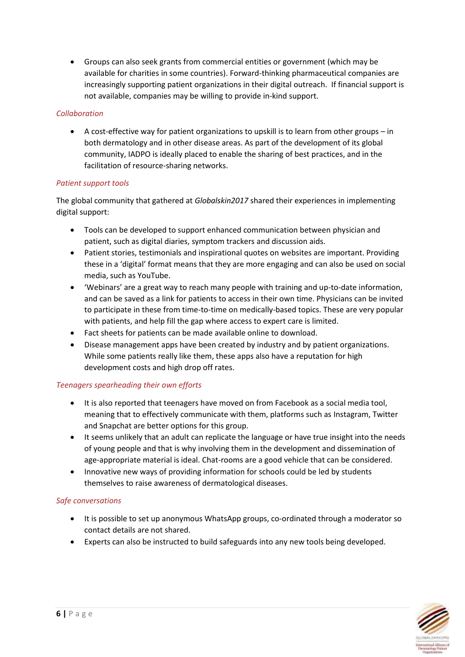• Groups can also seek grants from commercial entities or government (which may be available for charities in some countries). Forward-thinking pharmaceutical companies are increasingly supporting patient organizations in their digital outreach. If financial support is not available, companies may be willing to provide in-kind support.

#### *Collaboration*

• A cost-effective way for patient organizations to upskill is to learn from other groups – in both dermatology and in other disease areas. As part of the development of its global community, IADPO is ideally placed to enable the sharing of best practices, and in the facilitation of resource-sharing networks.

#### *Patient support tools*

The global community that gathered at *Globalskin2017* shared their experiences in implementing digital support:

- Tools can be developed to support enhanced communication between physician and patient, such as digital diaries, symptom trackers and discussion aids.
- Patient stories, testimonials and inspirational quotes on websites are important. Providing these in a 'digital' format means that they are more engaging and can also be used on social media, such as YouTube.
- 'Webinars' are a great way to reach many people with training and up-to-date information, and can be saved as a link for patients to access in their own time. Physicians can be invited to participate in these from time-to-time on medically-based topics. These are very popular with patients, and help fill the gap where access to expert care is limited.
- Fact sheets for patients can be made available online to download.
- Disease management apps have been created by industry and by patient organizations. While some patients really like them, these apps also have a reputation for high development costs and high drop off rates.

#### *Teenagers spearheading their own efforts*

- It is also reported that teenagers have moved on from Facebook as a social media tool, meaning that to effectively communicate with them, platforms such as Instagram, Twitter and Snapchat are better options for this group.
- It seems unlikely that an adult can replicate the language or have true insight into the needs of young people and that is why involving them in the development and dissemination of age-appropriate material is ideal. Chat-rooms are a good vehicle that can be considered.
- Innovative new ways of providing information for schools could be led by students themselves to raise awareness of dermatological diseases.

#### *Safe conversations*

- It is possible to set up anonymous WhatsApp groups, co-ordinated through a moderator so contact details are not shared.
- Experts can also be instructed to build safeguards into any new tools being developed.